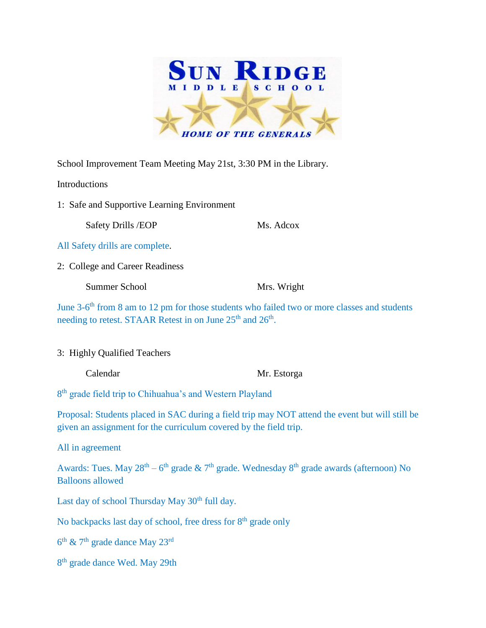

School Improvement Team Meeting May 21st, 3:30 PM in the Library.

Introductions

1: Safe and Supportive Learning Environment

Safety Drills /EOP Ms. Adcox

All Safety drills are complete.

2: College and Career Readiness

Summer School Mrs. Wright

June 3-6<sup>th</sup> from 8 am to 12 pm for those students who failed two or more classes and students needing to retest. STAAR Retest in on June 25<sup>th</sup> and 26<sup>th</sup>.

3: Highly Qualified Teachers

Calendar Mr. Estorga

8<sup>th</sup> grade field trip to Chihuahua's and Western Playland

Proposal: Students placed in SAC during a field trip may NOT attend the event but will still be given an assignment for the curriculum covered by the field trip.

All in agreement

Awards: Tues. May  $28^{th} - 6^{th}$  grade  $\& 7^{th}$  grade. Wednesday  $8^{th}$  grade awards (afternoon) No Balloons allowed

Last day of school Thursday May 30<sup>th</sup> full day.

No backpacks last day of school, free dress for 8<sup>th</sup> grade only

 $6<sup>th</sup>$  & 7<sup>th</sup> grade dance May 23<sup>rd</sup>

8<sup>th</sup> grade dance Wed. May 29th